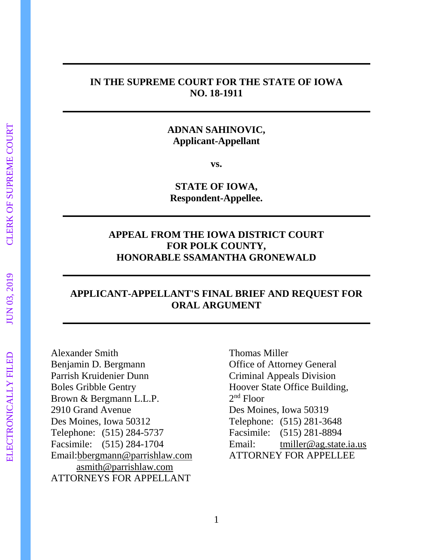## **IN THE SUPREME COURT FOR THE STATE OF IOWA NO. 18-1911**

# **ADNAN SAHINOVIC, Applicant-Appellant**

**vs.**

**STATE OF IOWA, Respondent-Appellee.**

# **APPEAL FROM THE IOWA DISTRICT COURT FOR POLK COUNTY, HONORABLE SSAMANTHA GRONEWALD**

# **APPLICANT-APPELLANT'S FINAL BRIEF AND REQUEST FOR ORAL ARGUMENT**

Alexander Smith Benjamin D. Bergmann Parrish Kruidenier Dunn Boles Gribble Gentry Brown & Bergmann L.L.P. 2910 Grand Avenue Des Moines, Iowa 50312 Telephone: (515) 284-5737 Facsimile: (515) 284-1704 Email[:bbergmann@parrishlaw.com](mailto:bbergmann@parrishlaw.com) [asmith@parrishlaw.com](mailto:asmith@parrishlaw.com) ATTORNEYS FOR APPELLANT

Thomas Miller Office of Attorney General Criminal Appeals Division Hoover State Office Building, 2 nd Floor Des Moines, Iowa 50319 Telephone: (515) 281-3648 Facsimile: (515) 281-8894 Email: [tmiller@ag.state.ia.us](mailto:tmiller@ag.state.ia.us) ATTORNEY FOR APPELLEE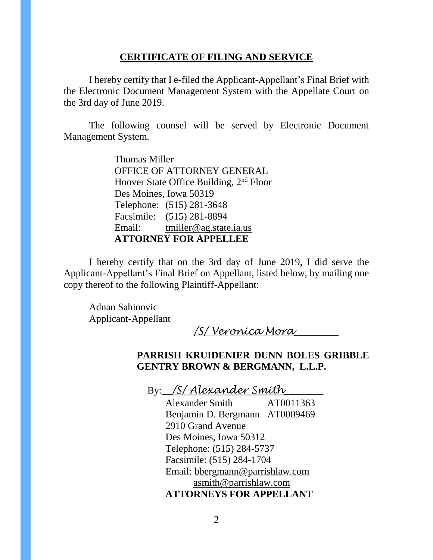## **CERTIFICATE OF FILING AND SERVICE**

I hereby certify that I e-filed the Applicant-Appellant's Final Brief with the Electronic Document Management System with the Appellate Court on the 3rd day of June 2019.

The following counsel will be served by Electronic Document Management System.

> Thomas Miller OFFICE OF ATTORNEY GENERAL Hoover State Office Building, 2nd Floor Des Moines, Iowa 50319 Telephone: (515) 281-3648 Facsimile: (515) 281-8894 Email: [tmiller@ag.state.ia.us](mailto:tmiller@ag.state.ia.us) **ATTORNEY FOR APPELLEE**

I hereby certify that on the 3rd day of June 2019, I did serve the Applicant-Appellant's Final Brief on Appellant, listed below, by mailing one copy thereof to the following Plaintiff-Appellant:

Adnan Sahinovic Applicant-Appellant

*/S/ Veronica Mora*\_\_\_\_\_\_\_\_\_

# **PARRISH KRUIDENIER DUNN BOLES GRIBBLE GENTRY BROWN & BERGMANN, L.L.P.**

By:\_\_*/S/ Alexander Smith*\_\_\_\_\_\_\_\_

Alexander Smith AT0011363 Benjamin D. Bergmann AT0009469 2910 Grand Avenue Des Moines, Iowa 50312 Telephone: (515) 284-5737 Facsimile: (515) 284-1704 Email: [bbergmann@parrishlaw.com](mailto:bbergmann@parrishlaw.com) [asmith@parrishlaw.com](mailto:asmith@parrishlaw.com) **ATTORNEYS FOR APPELLANT**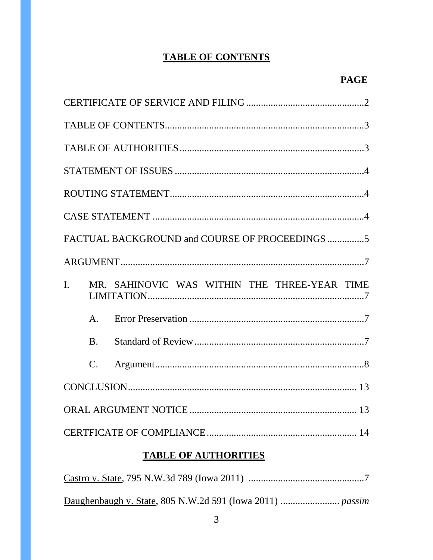# **TABLE OF CONTENTS**

|                |                 | FACTUAL BACKGROUND and COURSE OF PROCEEDINGS 5 |  |
|----------------|-----------------|------------------------------------------------|--|
|                |                 |                                                |  |
| $\mathbf{I}$ . |                 | MR. SAHINOVIC WAS WITHIN THE THREE-YEAR TIME   |  |
|                | A <sub>1</sub>  |                                                |  |
|                | B <sub>1</sub>  |                                                |  |
|                | $\mathcal{C}$ . |                                                |  |
|                |                 |                                                |  |
|                |                 |                                                |  |
|                |                 |                                                |  |
|                |                 | <b>TABLE OF AUTHORITIES</b>                    |  |

#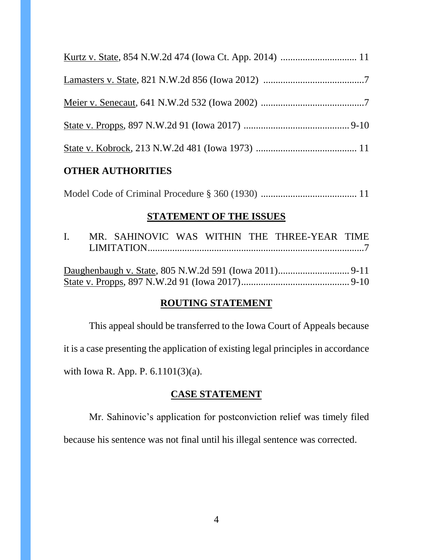## **OTHER AUTHORITIES**

Model Code of Criminal Procedure § 360 (1930) ....................................... 11

## **STATEMENT OF THE ISSUES**

|  |  |  |  |  |  | I. MR. SAHINOVIC WAS WITHIN THE THREE-YEAR TIME |  |  |  |
|--|--|--|--|--|--|-------------------------------------------------|--|--|--|
|  |  |  |  |  |  |                                                 |  |  |  |
|  |  |  |  |  |  |                                                 |  |  |  |
|  |  |  |  |  |  |                                                 |  |  |  |
|  |  |  |  |  |  |                                                 |  |  |  |
|  |  |  |  |  |  |                                                 |  |  |  |

# **ROUTING STATEMENT**

This appeal should be transferred to the Iowa Court of Appeals because it is a case presenting the application of existing legal principles in accordance with Iowa R. App. P. 6.1101(3)(a).

## **CASE STATEMENT**

Mr. Sahinovic's application for postconviction relief was timely filed

because his sentence was not final until his illegal sentence was corrected.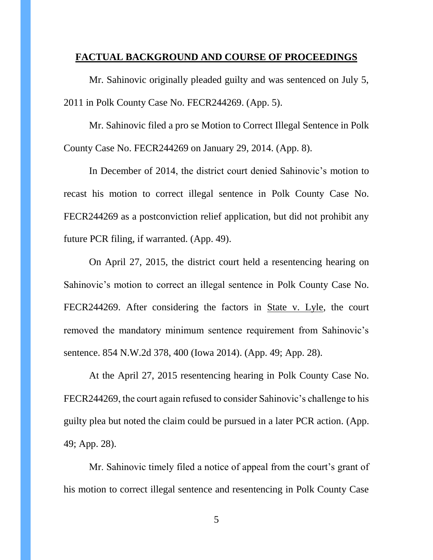#### **FACTUAL BACKGROUND AND COURSE OF PROCEEDINGS**

Mr. Sahinovic originally pleaded guilty and was sentenced on July 5, 2011 in Polk County Case No. FECR244269. (App. 5).

Mr. Sahinovic filed a pro se Motion to Correct Illegal Sentence in Polk County Case No. FECR244269 on January 29, 2014. (App. 8).

In December of 2014, the district court denied Sahinovic's motion to recast his motion to correct illegal sentence in Polk County Case No. FECR244269 as a postconviction relief application, but did not prohibit any future PCR filing, if warranted. (App. 49).

On April 27, 2015, the district court held a resentencing hearing on Sahinovic's motion to correct an illegal sentence in Polk County Case No. FECR244269. After considering the factors in State v. Lyle, the court removed the mandatory minimum sentence requirement from Sahinovic's sentence. 854 N.W.2d 378, 400 (Iowa 2014). (App. 49; App. 28).

At the April 27, 2015 resentencing hearing in Polk County Case No. FECR244269, the court again refused to consider Sahinovic's challenge to his guilty plea but noted the claim could be pursued in a later PCR action. (App. 49; App. 28).

Mr. Sahinovic timely filed a notice of appeal from the court's grant of his motion to correct illegal sentence and resentencing in Polk County Case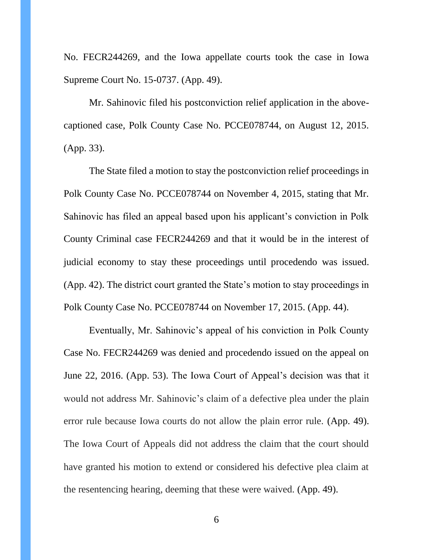No. FECR244269, and the Iowa appellate courts took the case in Iowa Supreme Court No. 15-0737. (App. 49).

Mr. Sahinovic filed his postconviction relief application in the abovecaptioned case, Polk County Case No. PCCE078744, on August 12, 2015. (App. 33).

The State filed a motion to stay the postconviction relief proceedings in Polk County Case No. PCCE078744 on November 4, 2015, stating that Mr. Sahinovic has filed an appeal based upon his applicant's conviction in Polk County Criminal case FECR244269 and that it would be in the interest of judicial economy to stay these proceedings until procedendo was issued. (App. 42). The district court granted the State's motion to stay proceedings in Polk County Case No. PCCE078744 on November 17, 2015. (App. 44).

Eventually, Mr. Sahinovic's appeal of his conviction in Polk County Case No. FECR244269 was denied and procedendo issued on the appeal on June 22, 2016. (App. 53). The Iowa Court of Appeal's decision was that it would not address Mr. Sahinovic's claim of a defective plea under the plain error rule because Iowa courts do not allow the plain error rule. (App. 49). The Iowa Court of Appeals did not address the claim that the court should have granted his motion to extend or considered his defective plea claim at the resentencing hearing, deeming that these were waived. (App. 49).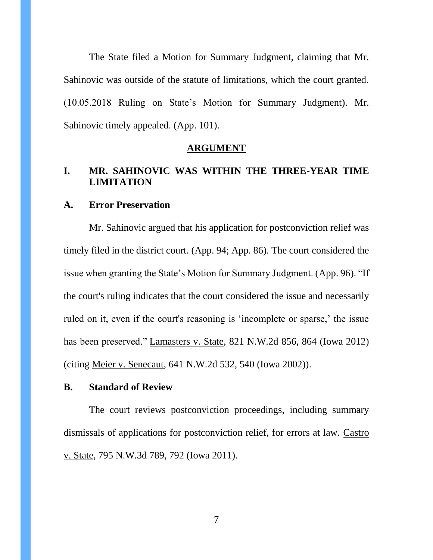The State filed a Motion for Summary Judgment, claiming that Mr. Sahinovic was outside of the statute of limitations, which the court granted. (10.05.2018 Ruling on State's Motion for Summary Judgment). Mr. Sahinovic timely appealed. (App. 101).

#### **ARGUMENT**

# **I. MR. SAHINOVIC WAS WITHIN THE THREE-YEAR TIME LIMITATION**

## **A. Error Preservation**

Mr. Sahinovic argued that his application for postconviction relief was timely filed in the district court. (App. 94; App. 86). The court considered the issue when granting the State's Motion for Summary Judgment. (App. 96). "If the court's ruling indicates that the court considered the issue and necessarily ruled on it, even if the court's reasoning is 'incomplete or sparse,' the issue has been preserved." Lamasters v. State, 821 N.W.2d 856, 864 (Iowa 2012) (citing Meier v. Senecaut, 641 N.W.2d 532, 540 (Iowa 2002)).

## **B. Standard of Review**

The court reviews postconviction proceedings, including summary dismissals of applications for postconviction relief, for errors at law. Castro v. State, 795 N.W.3d 789, 792 (Iowa 2011).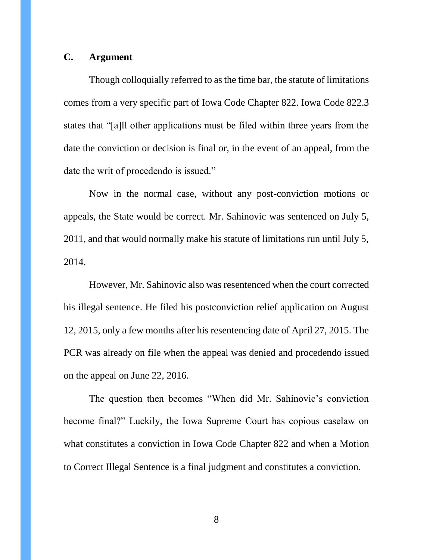## **C. Argument**

Though colloquially referred to as the time bar, the statute of limitations comes from a very specific part of Iowa Code Chapter 822. Iowa Code 822.3 states that "[a]ll other applications must be filed within three years from the date the conviction or decision is final or, in the event of an appeal, from the date the writ of procedendo is issued."

Now in the normal case, without any post-conviction motions or appeals, the State would be correct. Mr. Sahinovic was sentenced on July 5, 2011, and that would normally make his statute of limitations run until July 5, 2014.

However, Mr. Sahinovic also was resentenced when the court corrected his illegal sentence. He filed his postconviction relief application on August 12, 2015, only a few months after his resentencing date of April 27, 2015. The PCR was already on file when the appeal was denied and procedendo issued on the appeal on June 22, 2016.

The question then becomes "When did Mr. Sahinovic's conviction become final?" Luckily, the Iowa Supreme Court has copious caselaw on what constitutes a conviction in Iowa Code Chapter 822 and when a Motion to Correct Illegal Sentence is a final judgment and constitutes a conviction.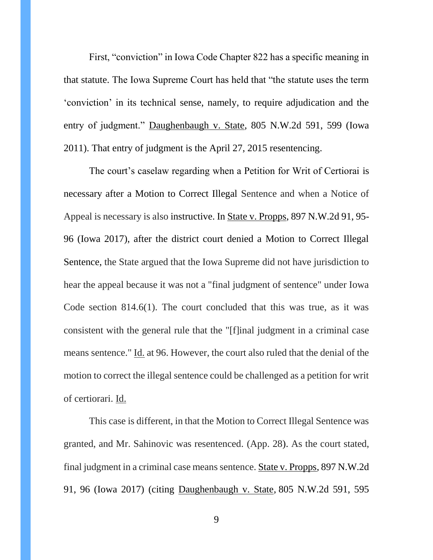First, "conviction" in Iowa Code Chapter 822 has a specific meaning in that statute. The Iowa Supreme Court has held that "the statute uses the term 'conviction' in its technical sense, namely, to require adjudication and the entry of judgment." Daughenbaugh v. State, 805 N.W.2d 591, 599 (Iowa 2011). That entry of judgment is the April 27, 2015 resentencing.

The court's caselaw regarding when a Petition for Writ of Certiorai is necessary after a Motion to Correct Illegal Sentence and when a Notice of Appeal is necessary is also instructive. In State v. Propps, 897 N.W.2d 91, 95- 96 (Iowa 2017), after the district court denied a Motion to Correct Illegal Sentence, the State argued that the Iowa Supreme did not have jurisdiction to hear the appeal because it was not a "final judgment of sentence" under Iowa Code section 814.6(1). The court concluded that this was true, as it was consistent with the general rule that the "[f]inal judgment in a criminal case means sentence." <u>Id.</u> at 96. However, the court also ruled that the denial of the motion to correct the illegal sentence could be challenged as a petition for writ of certiorari. Id.

This case is different, in that the Motion to Correct Illegal Sentence was granted, and Mr. Sahinovic was resentenced. (App. 28). As the court stated, final judgment in a criminal case means sentence. State v. Propps, 897 N.W.2d 91, 96 (Iowa 2017) (citing [Daughenbaugh v. State,](https://scholar.google.com/scholar_case?case=8853215738608048899&q=propps&hl=en&as_sdt=4,16) 805 N.W.2d 591, 595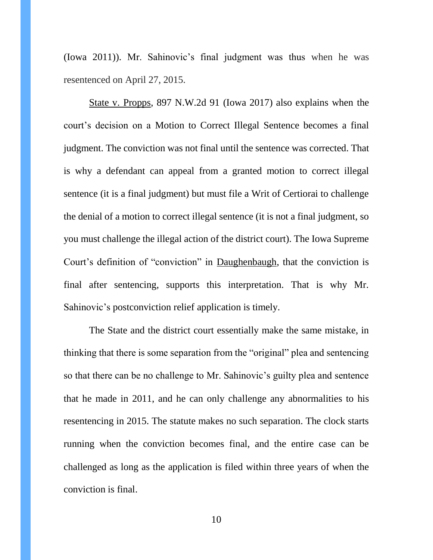[\(Iowa 2011\)\)](https://scholar.google.com/scholar_case?case=8853215738608048899&q=propps&hl=en&as_sdt=4,16). Mr. Sahinovic's final judgment was thus when he was resentenced on April 27, 2015.

State v. Propps, 897 N.W.2d 91 (Iowa 2017) also explains when the court's decision on a Motion to Correct Illegal Sentence becomes a final judgment. The conviction was not final until the sentence was corrected. That is why a defendant can appeal from a granted motion to correct illegal sentence (it is a final judgment) but must file a Writ of Certiorai to challenge the denial of a motion to correct illegal sentence (it is not a final judgment, so you must challenge the illegal action of the district court). The Iowa Supreme Court's definition of "conviction" in Daughenbaugh, that the conviction is final after sentencing, supports this interpretation. That is why Mr. Sahinovic's postconviction relief application is timely.

The State and the district court essentially make the same mistake, in thinking that there is some separation from the "original" plea and sentencing so that there can be no challenge to Mr. Sahinovic's guilty plea and sentence that he made in 2011, and he can only challenge any abnormalities to his resentencing in 2015. The statute makes no such separation. The clock starts running when the conviction becomes final, and the entire case can be challenged as long as the application is filed within three years of when the conviction is final.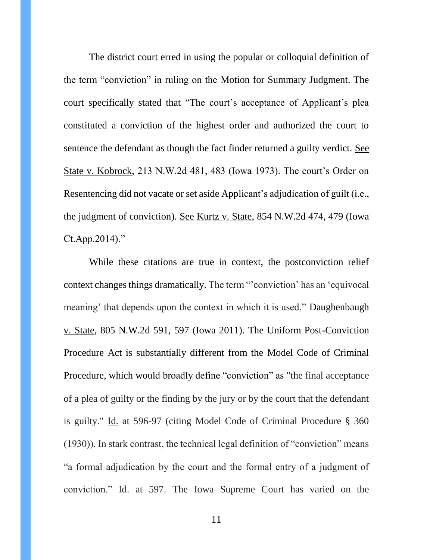The district court erred in using the popular or colloquial definition of the term "conviction" in ruling on the Motion for Summary Judgment. The court specifically stated that "The court's acceptance of Applicant's plea constituted a conviction of the highest order and authorized the court to sentence the defendant as though the fact finder returned a guilty verdict. See State v. Kobrock, 213 N.W.2d 481, 483 (Iowa 1973). The court's Order on Resentencing did not vacate or set aside Applicant's adjudication of guilt (i.e., the judgment of conviction). See Kurtz v. State, 854 N.W.2d 474, 479 (Iowa Ct.App.2014)."

While these citations are true in context, the postconviction relief context changes things dramatically. The term "'conviction' has an 'equivocal meaning' that depends upon the context in which it is used." Daughenbaugh v. State, 805 N.W.2d 591, 597 (Iowa 2011). The Uniform Post-Conviction Procedure Act is substantially different from the Model Code of Criminal Procedure, which would broadly define "conviction" as "the final acceptance of a plea of guilty or the finding by the jury or by the court that the defendant is guilty." Id. at 596-97 (citing Model Code of Criminal Procedure § 360 (1930)). In stark contrast, the technical legal definition of "conviction" means "a formal adjudication by the court and the formal entry of a judgment of conviction." Id. at 597. The Iowa Supreme Court has varied on the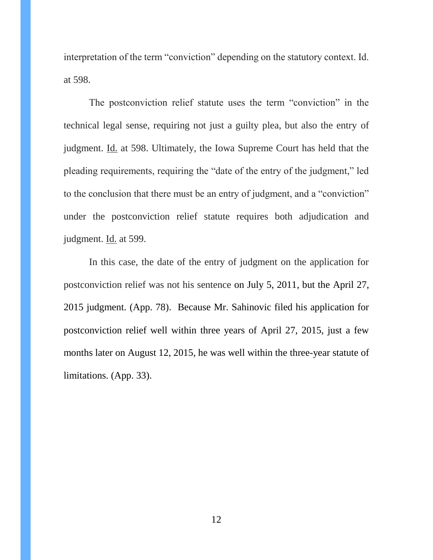interpretation of the term "conviction" depending on the statutory context. Id. at 598.

The postconviction relief statute uses the term "conviction" in the technical legal sense, requiring not just a guilty plea, but also the entry of judgment. Id. at 598. Ultimately, the Iowa Supreme Court has held that the pleading requirements, requiring the "date of the entry of the judgment," led to the conclusion that there must be an entry of judgment, and a "conviction" under the postconviction relief statute requires both adjudication and judgment. Id. at 599.

In this case, the date of the entry of judgment on the application for postconviction relief was not his sentence on July 5, 2011, but the April 27, 2015 judgment. (App. 78). Because Mr. Sahinovic filed his application for postconviction relief well within three years of April 27, 2015, just a few months later on August 12, 2015, he was well within the three-year statute of limitations. (App. 33).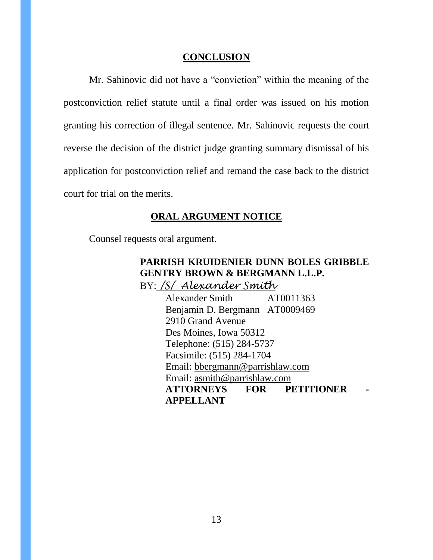## **CONCLUSION**

Mr. Sahinovic did not have a "conviction" within the meaning of the postconviction relief statute until a final order was issued on his motion granting his correction of illegal sentence. Mr. Sahinovic requests the court reverse the decision of the district judge granting summary dismissal of his application for postconviction relief and remand the case back to the district court for trial on the merits.

## **ORAL ARGUMENT NOTICE**

Counsel requests oral argument.

# **PARRISH KRUIDENIER DUNN BOLES GRIBBLE GENTRY BROWN & BERGMANN L.L.P.** BY: */S/ Alexander Smith*

Alexander Smith AT0011363 Benjamin D. Bergmann AT0009469 2910 Grand Avenue Des Moines, Iowa 50312 Telephone: (515) 284-5737 Facsimile: (515) 284-1704 Email: [bbergmann@parrishlaw.com](mailto:bbergmann@parrishlaw.com)  Email: [asmith@parrishlaw.com](mailto:asmith@parrishlaw.com) **ATTORNEYS FOR PETITIONER - APPELLANT**